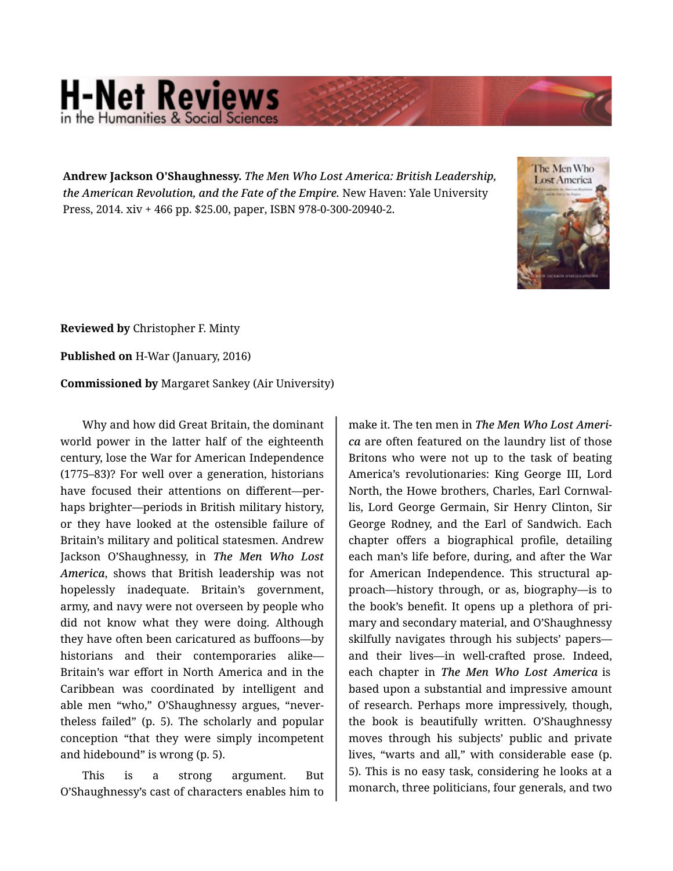## **H-Net Reviews** in the Humanities & Social Scie

**Andrew Jackson O'Shaughnessy.** *The Men Who Lost America: British Leadership, the American Revolution, and the Fate of the Empire.* New Haven: Yale University Press, 2014. xiv + 466 pp. \$25.00, paper, ISBN 978-0-300-20940-2.



**Reviewed by** Christopher F. Minty

**Published on** H-War (January, 2016)

**Commissioned by** Margaret Sankey (Air University)

Why and how did Great Britain, the dominant world power in the latter half of the eighteenth century, lose the War for American Independence (1775–83)? For well over a generation, historians have focused their attentions on different—per‐ haps brighter—periods in British military history, or they have looked at the ostensible failure of Britain's military and political statesmen. Andrew Jackson O'Shaughnessy, in *The Men Who Lost America*, shows that British leadership was not hopelessly inadequate. Britain's government, army, and navy were not overseen by people who did not know what they were doing. Although they have often been caricatured as buffoons—by historians and their contemporaries alike— Britain's war effort in North America and in the Caribbean was coordinated by intelligent and able men "who," O'Shaughnessy argues, "never‐ theless failed" (p. 5). The scholarly and popular conception "that they were simply incompetent and hidebound" is wrong (p. 5).

This is a strong argument. But O'Shaughnessy's cast of characters enables him to

make it. The ten men in *The Men Who Lost Ameri‐ ca* are often featured on the laundry list of those Britons who were not up to the task of beating America's revolutionaries: King George III, Lord North, the Howe brothers, Charles, Earl Cornwal‐ lis, Lord George Germain, Sir Henry Clinton, Sir George Rodney, and the Earl of Sandwich. Each chapter offers a biographical profile, detailing each man's life before, during, and after the War for American Independence. This structural ap‐ proach—history through, or as, biography—is to the book's benefit. It opens up a plethora of pri‐ mary and secondary material, and O'Shaughnessy skilfully navigates through his subjects' papers and their lives—in well-crafted prose. Indeed, each chapter in *The Men Who Lost America* is based upon a substantial and impressive amount of research. Perhaps more impressively, though, the book is beautifully written. O'Shaughnessy moves through his subjects' public and private lives, "warts and all," with considerable ease (p. 5). This is no easy task, considering he looks at a monarch, three politicians, four generals, and two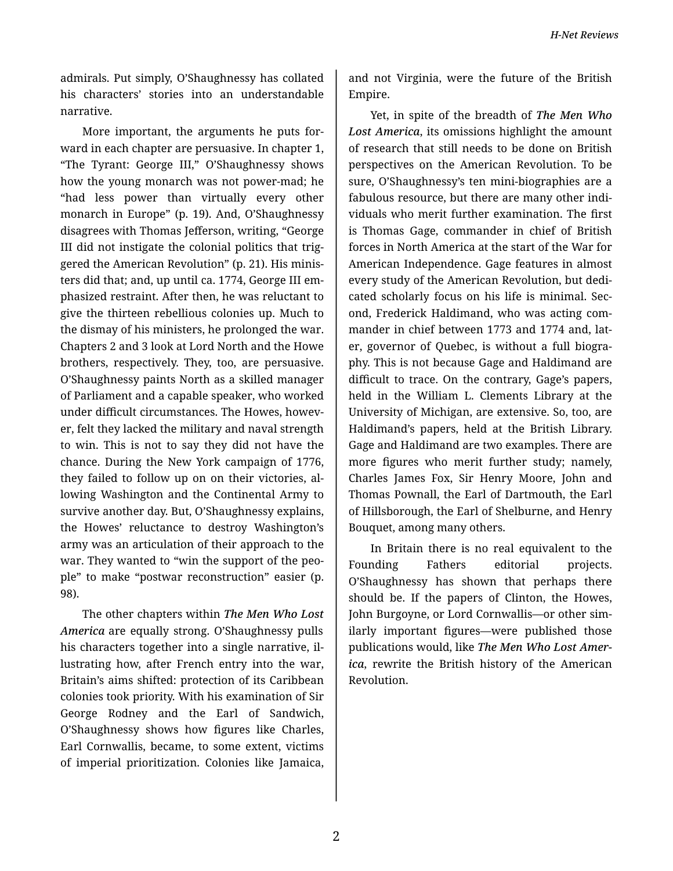admirals. Put simply, O'Shaughnessy has collated his characters' stories into an understandable narrative.

More important, the arguments he puts for‐ ward in each chapter are persuasive. In chapter 1, "The Tyrant: George III," O'Shaughnessy shows how the young monarch was not power-mad; he "had less power than virtually every other monarch in Europe" (p. 19). And, O'Shaughnessy disagrees with Thomas Jefferson, writing, "George III did not instigate the colonial politics that trig‐ gered the American Revolution" (p. 21). His minis‐ ters did that; and, up until ca. 1774, George III em‐ phasized restraint. After then, he was reluctant to give the thirteen rebellious colonies up. Much to the dismay of his ministers, he prolonged the war. Chapters 2 and 3 look at Lord North and the Howe brothers, respectively. They, too, are persuasive. O'Shaughnessy paints North as a skilled manager of Parliament and a capable speaker, who worked under difficult circumstances. The Howes, howev‐ er, felt they lacked the military and naval strength to win. This is not to say they did not have the chance. During the New York campaign of 1776, they failed to follow up on on their victories, al‐ lowing Washington and the Continental Army to survive another day. But, O'Shaughnessy explains, the Howes' reluctance to destroy Washington's army was an articulation of their approach to the war. They wanted to "win the support of the peo‐ ple" to make "postwar reconstruction" easier (p. 98).

The other chapters within *The Men Who Lost America* are equally strong. O'Shaughnessy pulls his characters together into a single narrative, il‐ lustrating how, after French entry into the war, Britain's aims shifted: protection of its Caribbean colonies took priority. With his examination of Sir George Rodney and the Earl of Sandwich, O'Shaughnessy shows how figures like Charles, Earl Cornwallis, became, to some extent, victims of imperial prioritization. Colonies like Jamaica,

and not Virginia, were the future of the British Empire.

Yet, in spite of the breadth of *The Men Who Lost America*, its omissions highlight the amount of research that still needs to be done on British perspectives on the American Revolution. To be sure, O'Shaughnessy's ten mini-biographies are a fabulous resource, but there are many other indi‐ viduals who merit further examination. The first is Thomas Gage, commander in chief of British forces in North America at the start of the War for American Independence. Gage features in almost every study of the American Revolution, but dedi‐ cated scholarly focus on his life is minimal. Sec‐ ond, Frederick Haldimand, who was acting com‐ mander in chief between 1773 and 1774 and, lat‐ er, governor of Quebec, is without a full biogra‐ phy. This is not because Gage and Haldimand are difficult to trace. On the contrary, Gage's papers, held in the William L. Clements Library at the University of Michigan, are extensive. So, too, are Haldimand's papers, held at the British Library. Gage and Haldimand are two examples. There are more figures who merit further study; namely, Charles James Fox, Sir Henry Moore, John and Thomas Pownall, the Earl of Dartmouth, the Earl of Hillsborough, the Earl of Shelburne, and Henry Bouquet, among many others.

In Britain there is no real equivalent to the Founding Fathers editorial projects. O'Shaughnessy has shown that perhaps there should be. If the papers of Clinton, the Howes, John Burgoyne, or Lord Cornwallis—or other sim‐ ilarly important figures—were published those publications would, like *The Men Who Lost Amer‐ ica*, rewrite the British history of the American Revolution.